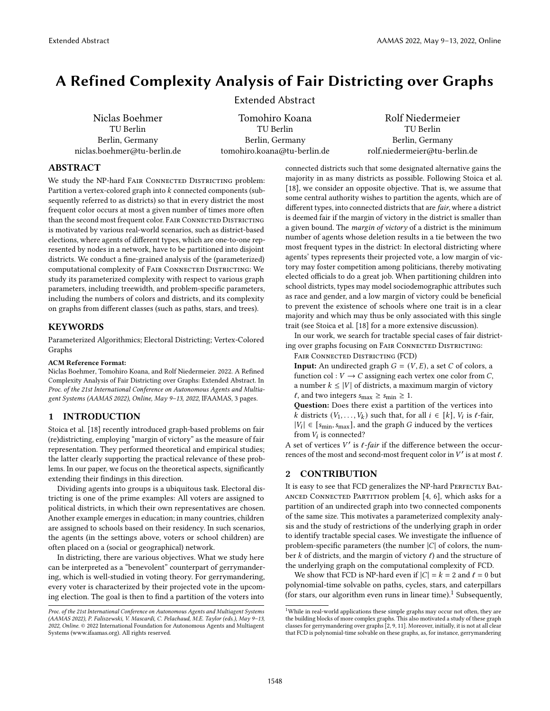# A Refined Complexity Analysis of Fair Districting over Graphs

Extended Abstract

Niclas Boehmer TU Berlin Berlin, Germany niclas.boehmer@tu-berlin.de

Tomohiro Koana TU Berlin Berlin, Germany tomohiro.koana@tu-berlin.de

Rolf Niedermeier TU Berlin Berlin, Germany rolf.niedermeier@tu-berlin.de

## ABSTRACT

We study the NP-hard FAIR CONNECTED DISTRICTING problem: Partition a vertex-colored graph into  $k$  connected components (subsequently referred to as districts) so that in every district the most frequent color occurs at most a given number of times more often than the second most frequent color. FAIR CONNECTED DISTRICTING is motivated by various real-world scenarios, such as district-based elections, where agents of different types, which are one-to-one represented by nodes in a network, have to be partitioned into disjoint districts. We conduct a fine-grained analysis of the (parameterized) computational complexity of FAIR CONNECTED DISTRICTING: We study its parameterized complexity with respect to various graph parameters, including treewidth, and problem-specific parameters, including the numbers of colors and districts, and its complexity on graphs from different classes (such as paths, stars, and trees).

## KEYWORDS

Parameterized Algorithmics; Electoral Districting; Vertex-Colored **Graphs** 

### ACM Reference Format:

Niclas Boehmer, Tomohiro Koana, and Rolf Niedermeier. 2022. A Refined Complexity Analysis of Fair Districting over Graphs: Extended Abstract. In Proc. of the 21st International Conference on Autonomous Agents and Multiagent Systems (AAMAS 2022), Online, May 9–13, 2022, IFAAMAS, [3](#page-2-0) pages.

## 1 INTRODUCTION

Stoica et al. [\[18\]](#page-2-1) recently introduced graph-based problems on fair (re)districting, employing "margin of victory" as the measure of fair representation. They performed theoretical and empirical studies; the latter clearly supporting the practical relevance of these problems. In our paper, we focus on the theoretical aspects, significantly extending their findings in this direction.

Dividing agents into groups is a ubiquitous task. Electoral districting is one of the prime examples: All voters are assigned to political districts, in which their own representatives are chosen. Another example emerges in education; in many countries, children are assigned to schools based on their residency. In such scenarios, the agents (in the settings above, voters or school children) are often placed on a (social or geographical) network.

In districting, there are various objectives. What we study here can be interpreted as a "benevolent" counterpart of gerrymandering, which is well-studied in voting theory. For gerrymandering, every voter is characterized by their projected vote in the upcoming election. The goal is then to find a partition of the voters into

connected districts such that some designated alternative gains the majority in as many districts as possible. Following Stoica et al. [\[18\]](#page-2-1), we consider an opposite objective. That is, we assume that some central authority wishes to partition the agents, which are of different types, into connected districts that are *fair*, where a district is deemed fair if the margin of victory in the district is smaller than a given bound. The margin of victory of a district is the minimum number of agents whose deletion results in a tie between the two most frequent types in the district: In electoral districting where agents' types represents their projected vote, a low margin of victory may foster competition among politicians, thereby motivating elected officials to do a great job. When partitioning children into school districts, types may model sociodemographic attributes such as race and gender, and a low margin of victory could be beneficial to prevent the existence of schools where one trait is in a clear majority and which may thus be only associated with this single trait (see Stoica et al. [\[18\]](#page-2-1) for a more extensive discussion).

In our work, we search for tractable special cases of fair districting over graphs focusing on FAIR CONNECTED DISTRICTING:

Fair Connected Districting (FCD)

**Input:** An undirected graph  $G = (V, E)$ , a set C of colors, a function col :  $V \rightarrow C$  assigning each vertex one color from C, a number  $k \leq |V|$  of districts, a maximum margin of victory  $\ell$ , and two integers  $s_{\text{max}} \geq s_{\text{min}} \geq 1$ .

Question: Does there exist a partition of the vertices into k districts  $(V_1, \ldots, V_k)$  such that, for all  $i \in [k]$ ,  $V_i$  is  $\ell$ -fair,  $|V_i| \in [s_{\text{min}}, s_{\text{max}}]$ , and the graph G induced by the vertices from  $V_i$  is connected?

A set of vertices  $V'$  is  $\ell$ -fair if the difference between the occurrences of the most and second-most frequent color in  $V'$  is at most  $\ell$ .

# **CONTRIBUTION**

It is easy to see that FCD generalizes the NP-hard PERFECTLY BALanced Connected Partition problem [\[4,](#page-2-2) [6\]](#page-2-3), which asks for a partition of an undirected graph into two connected components of the same size. This motivates a parameterized complexity analysis and the study of restrictions of the underlying graph in order to identify tractable special cases. We investigate the influence of problem-specific parameters (the number  $|C|$  of colors, the number  $k$  of districts, and the margin of victory  $\ell$ ) and the structure of the underlying graph on the computational complexity of FCD.

We show that FCD is NP-hard even if  $|C| = k = 2$  and  $\ell = 0$  but polynomial-time solvable on paths, cycles, stars, and caterpillars (for stars, our algorithm even runs in linear time).<sup>[1](#page-0-0)</sup> Subsequently,

Proc. of the 21st International Conference on Autonomous Agents and Multiagent Systems (AAMAS 2022), P. Faliszewski, V. Mascardi, C. Pelachaud, M.E. Taylor (eds.), May 9–13, 2022, Online. © 2022 International Foundation for Autonomous Agents and Multiagent Systems (www.ifaamas.org). All rights reserved.

<span id="page-0-0"></span> $^{1}$  While in real-world applications these simple graphs may occur not often, they are the building blocks of more complex graphs. This also motivated a study of these graph classes for gerrymandering over graphs [\[2,](#page-2-4) [9,](#page-2-5) [11\]](#page-2-6). Moreover, initially, it is not at all clear that FCD is polynomial-time solvable on these graphs, as, for instance, gerrymandering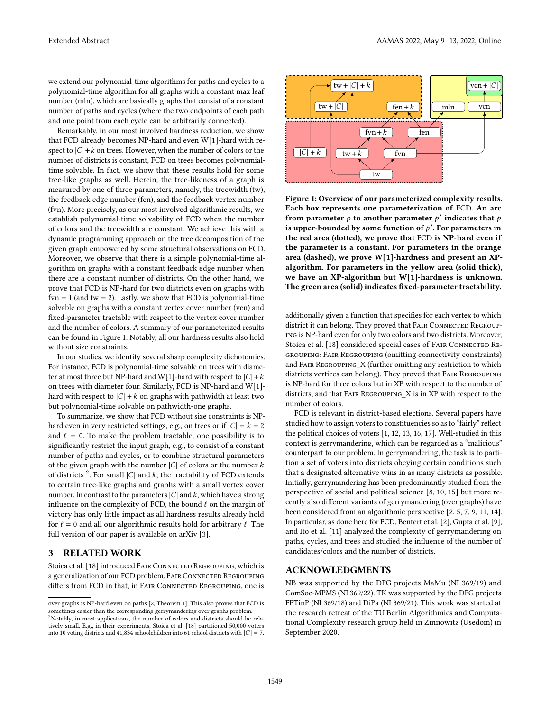we extend our polynomial-time algorithms for paths and cycles to a polynomial-time algorithm for all graphs with a constant max leaf number (mln), which are basically graphs that consist of a constant number of paths and cycles (where the two endpoints of each path and one point from each cycle can be arbitrarily connected).

Remarkably, in our most involved hardness reduction, we show that FCD already becomes NP-hard and even W[1]-hard with respect to  $|C| + k$  on trees. However, when the number of colors or the number of districts is constant, FCD on trees becomes polynomialtime solvable. In fact, we show that these results hold for some tree-like graphs as well. Herein, the tree-likeness of a graph is measured by one of three parameters, namely, the treewidth (tw), the feedback edge number (fen), and the feedback vertex number (fvn). More precisely, as our most involved algorithmic results, we establish polynomial-time solvability of FCD when the number of colors and the treewidth are constant. We achieve this with a dynamic programming approach on the tree decomposition of the given graph empowered by some structural observations on FCD. Moreover, we observe that there is a simple polynomial-time algorithm on graphs with a constant feedback edge number when there are a constant number of districts. On the other hand, we prove that FCD is NP-hard for two districts even on graphs with  $fvn = 1$  (and tw = 2). Lastly, we show that FCD is polynomial-time solvable on graphs with a constant vertex cover number (vcn) and fixed-parameter tractable with respect to the vertex cover number and the number of colors. A summary of our parameterized results can be found in [Figure 1.](#page-1-0) Notably, all our hardness results also hold without size constraints.

In our studies, we identify several sharp complexity dichotomies. For instance, FCD is polynomial-time solvable on trees with diameter at most three but NP-hard and W[1]-hard with respect to  $|C| + k$ on trees with diameter four. Similarly, FCD is NP-hard and W[1] hard with respect to  $|C| + k$  on graphs with pathwidth at least two but polynomial-time solvable on pathwidth-one graphs.

To summarize, we show that FCD without size constraints is NPhard even in very restricted settings, e.g., on trees or if  $|C| = k = 2$ and  $\ell = 0$ . To make the problem tractable, one possibility is to significantly restrict the input graph, e.g., to consist of a constant number of paths and cycles, or to combine structural parameters of the given graph with the number  $|C|$  of colors or the number k of districts<sup>[2](#page-1-1)</sup>. For small  $|C|$  and  $k$ , the tractability of FCD extends to certain tree-like graphs and graphs with a small vertex cover number. In contrast to the parameters  $|C|$  and k, which have a strong influence on the complexity of FCD, the bound  $\ell$  on the margin of victory has only little impact as all hardness results already hold for  $\ell = 0$  and all our algorithmic results hold for arbitrary  $\ell$ . The full version of our paper is available on arXiv [\[3\]](#page-2-7).

## 3 RELATED WORK

Stoica et al. [\[18\]](#page-2-1) introduced FAIR CONNECTED REGROUPING, which is a generalization of our FCD problem. Fair Connected Regrouping differs from FCD in that, in FAIR CONNECTED REGROUPING, one is

<span id="page-1-0"></span>

Figure 1: Overview of our parameterized complexity results. Each box represents one parameterization of FCD. An arc from parameter  $p$  to another parameter  $p'$  indicates that  $p$ is upper-bounded by some function of  $p'$ . For parameters in the red area (dotted), we prove that FCD is NP-hard even if the parameter is a constant. For parameters in the orange area (dashed), we prove W[1]-hardness and present an XPalgorithm. For parameters in the yellow area (solid thick), we have an XP-algorithm but W[1]-hardness is unknown. The green area (solid) indicates fixed-parameter tractability.

additionally given a function that specifies for each vertex to which district it can belong. They proved that FAIR CONNECTED REGROUPing is NP-hard even for only two colors and two districts. Moreover, Stoica et al. [\[18\]](#page-2-1) considered special cases of FAIR CONNECTED REgrouping: Fair Regrouping (omitting connectivity constraints) and Fair Regrouping\_X (further omitting any restriction to which districts vertices can belong). They proved that Fair Regrouping is NP-hard for three colors but in XP with respect to the number of districts, and that Fair Regrouping\_X is in XP with respect to the number of colors.

FCD is relevant in district-based elections. Several papers have studied how to assign voters to constituencies so as to "fairly" reflect the political choices of voters [\[1,](#page-2-8) [12,](#page-2-9) [13,](#page-2-10) [16,](#page-2-11) [17\]](#page-2-12). Well-studied in this context is gerrymandering, which can be regarded as a "malicious" counterpart to our problem. In gerrymandering, the task is to partition a set of voters into districts obeying certain conditions such that a designated alternative wins in as many districts as possible. Initially, gerrymandering has been predominantly studied from the perspective of social and political science [\[8,](#page-2-13) [10,](#page-2-14) [15\]](#page-2-15) but more recently also different variants of gerrymandering (over graphs) have been considered from an algorithmic perspective [\[2,](#page-2-4) [5,](#page-2-16) [7,](#page-2-17) [9,](#page-2-5) [11,](#page-2-6) [14\]](#page-2-18). In particular, as done here for FCD, Bentert et al. [\[2\]](#page-2-4), Gupta et al. [\[9\]](#page-2-5), and Ito et al. [\[11\]](#page-2-6) analyzed the complexity of gerrymandering on paths, cycles, and trees and studied the influence of the number of candidates/colors and the number of districts.

### ACKNOWLEDGMENTS

NB was supported by the DFG projects MaMu (NI 369/19) and ComSoc-MPMS (NI 369/22). TK was supported by the DFG projects FPTinP (NI 369/18) and DiPa (NI 369/21). This work was started at the research retreat of the TU Berlin Algorithmics and Computational Complexity research group held in Zinnowitz (Usedom) in September 2020.

over graphs is NP-hard even on paths [\[2,](#page-2-4) Theorem 1]. This also proves that FCD is sometimes easier than the corresponding gerrymandering over graphs problem. <sup>2</sup>Notably, in most applications, the number of colors and districts should be rela-

<span id="page-1-1"></span>tively small. E.g., in their experiments, Stoica et al. [\[18\]](#page-2-1) partitioned 50,000 voters into 10 voting districts and 41,834 schoolchildren into 61 school districts with  $|C| = 7$ .